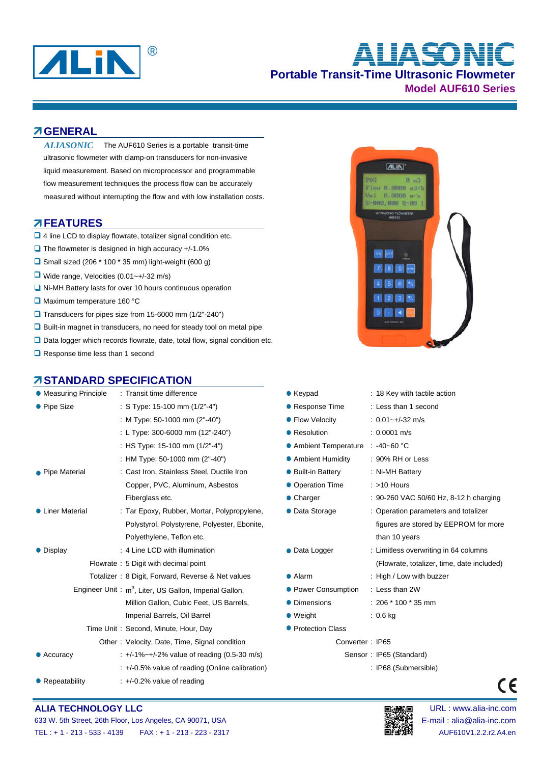

# **Portable Transit-Time Ultrasonic Flowmeter Model AUF610 Series** ® **ALIASONIC**

## **GENERAL**

The AUF610 Series is a portable transit-time ultrasonic flowmeter with clamp-on transducers for non-invasive liquid measurement. Based on microprocessor and programmable flow measurement techniques the process flow can be accurately measured without interrupting the flow and with low installation costs. *ALIASONIC*

### **FEATURES**

- □ 4 line LCD to display flowrate, totalizer signal condition etc.
- $\Box$  The flowmeter is designed in high accuracy +/-1.0%
- $\square$  Small sized (206  $*$  100  $*$  35 mm) light-weight (600 g)
- Wide range, Velocities (0.01~+/-32 m/s)
- $\Box$  Ni-MH Battery lasts for over 10 hours continuous operation
- Maximum temperature 160 °C
- Transducers for pipes size from 15-6000 mm (1/2"-240")
- Built-in magnet in transducers, no need for steady tool on metal pipe
- □ Data logger which records flowrate, date, total flow, signal condition etc.
- Response time less than 1 second

## **STANDARD SPECIFICATION**

| • Measuring Principle | : Transit time difference                                 | $\bullet$ Keypad                        | : 18 Key with tactile action               |  |
|-----------------------|-----------------------------------------------------------|-----------------------------------------|--------------------------------------------|--|
| • Pipe Size           | : S Type: $15-100$ mm $(1/2" -4")$                        | : Less than 1 second<br>• Response Time |                                            |  |
|                       | : M Type: 50-1000 mm (2"-40")                             | : $0.01 - +1.32$ m/s<br>• Flow Velocity |                                            |  |
|                       | : L Type: 300-6000 mm (12"-240")                          | • Resolution<br>$: 0.0001$ m/s          |                                            |  |
|                       | : HS Type: 15-100 mm (1/2"-4")                            | • Ambient Temperature                   | : $-40-60$ °C                              |  |
|                       | : HM Type: 50-1000 mm (2"-40")                            | • Ambient Humidity                      | $: 90\%$ RH or Less                        |  |
| • Pipe Material       | : Cast Iron, Stainless Steel, Ductile Iron                | • Built-in Battery                      | : Ni-MH Battery                            |  |
|                       | Copper, PVC, Aluminum, Asbestos                           | • Operation Time                        | $:$ >10 Hours                              |  |
|                       | Fiberglass etc.                                           | • Charger                               | : 90-260 VAC 50/60 Hz, 8-12 h charging     |  |
| • Liner Material      | : Tar Epoxy, Rubber, Mortar, Polypropylene,               | • Data Storage                          | : Operation parameters and totalizer       |  |
|                       | Polystyrol, Polystyrene, Polyester, Ebonite,              |                                         | figures are stored by EEPROM for more      |  |
|                       | Polyethylene, Teflon etc.                                 |                                         | than 10 years                              |  |
| • Display             | : 4 Line LCD with illumination                            | • Data Logger                           | : Limitless overwriting in 64 columns      |  |
|                       | Flowrate: 5 Digit with decimal point                      |                                         | (Flowrate, totalizer, time, date included) |  |
|                       | Totalizer: 8 Digit, Forward, Reverse & Net values         | • Alarm                                 | : High / Low with buzzer                   |  |
|                       | Engineer Unit: $m^3$ , Liter, US Gallon, Imperial Gallon, | • Power Consumption                     | : Less than 2W                             |  |
|                       | Million Gallon, Cubic Feet, US Barrels,                   | • Dimensions                            | $: 206 * 100 * 35$ mm                      |  |
|                       | Imperial Barrels, Oil Barrel                              | $\bullet$ Weight                        | $: 0.6$ kg                                 |  |
|                       | Time Unit: Second, Minute, Hour, Day                      | • Protection Class                      |                                            |  |
|                       | Other: Velocity, Date, Time, Signal condition             | Converter: IP65                         |                                            |  |
| $\bullet$ Accuracy    | : +/-1%~+/-2% value of reading $(0.5-30 \text{ m/s})$     |                                         | Sensor: IP65 (Standard)                    |  |
|                       | $\div$ +/-0.5% value of reading (Online calibration)      |                                         | : IP68 (Submersible)                       |  |
| • Repeatability       | $\div$ +/-0.2% value of reading                           |                                         |                                            |  |
|                       |                                                           |                                         |                                            |  |

 $\epsilon$ 

## **ALIA TECHNOLOGY LLC Development of the community of the community of the community of the community of the community of the community of the community of the community of the community of the community of the community**

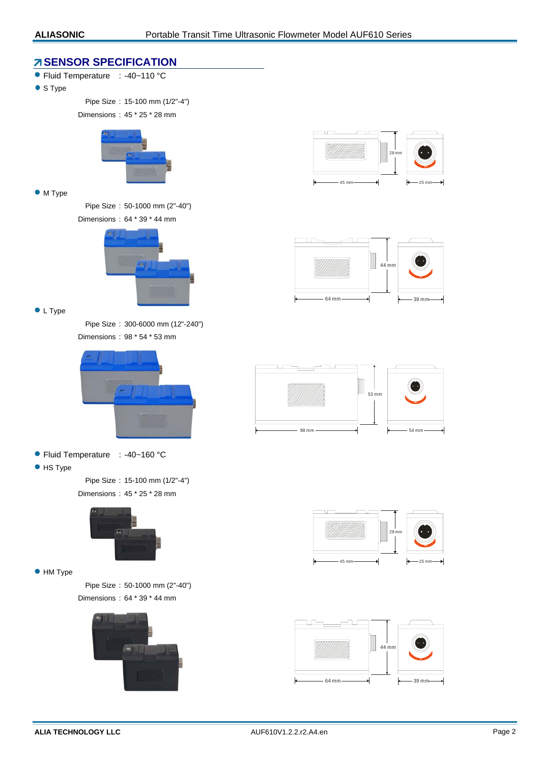## *A* **SENSOR SPECIFICATION**

- Fluid Temperature : -40~110 °C
- S Type

Pipe Size : 15-100 mm (1/2"-4")

Dimensions : 45 \* 25 \* 28 mm



#### • M Type

Pipe Size : 50-1000 mm (2"-40") Dimensions : 64 \* 39 \* 44 mm



• L Type

Pipe Size : 300-6000 mm (12"-240") Dimensions : 98 \* 54 \* 53 mm



- Fluid Temperature : -40~160 °C
- **•** HS Type

Pipe Size : 15-100 mm (1/2"-4") Dimensions : 45 \* 25 \* 28 mm



#### $\bullet$  HM Type

Pipe Size : 50-1000 mm (2"-40") Dimensions : 64 \* 39 \* 44 mm











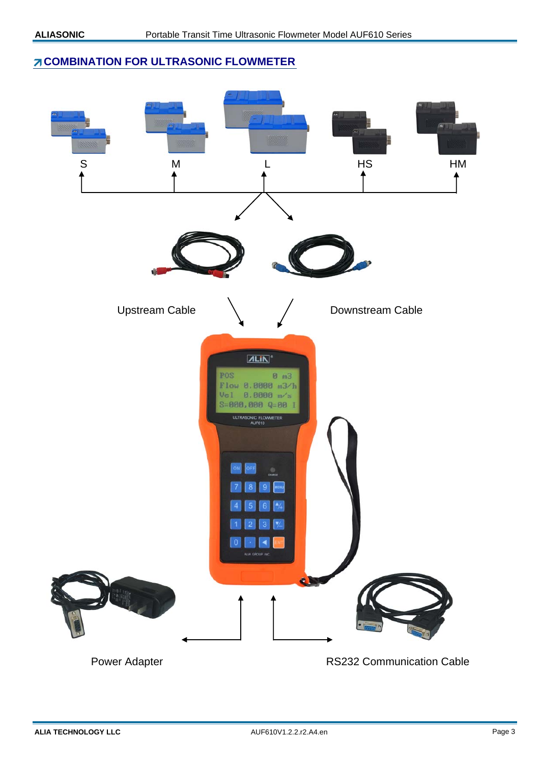## **Z COMBINATION FOR ULTRASONIC FLOWMETER**